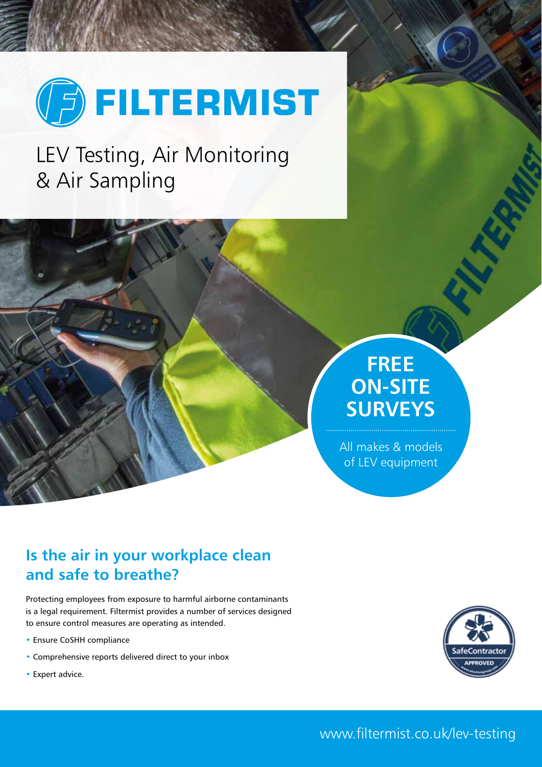

LEV Testing, Air Monitoring & Air Sampling

## **FREE ON-SITE SURVEYS**

All makes & models of LEV equipment

## **Is the air in your workplace clean and safe to breathe?**

Protecting employees from exposure to harmful airborne contaminants is a legal requirement. Filtermist provides a number of services designed to ensure control measures are operating as intended.

- Ensure CoSHH compliance
- Comprehensive reports delivered direct to your inbox
- Expert advice.

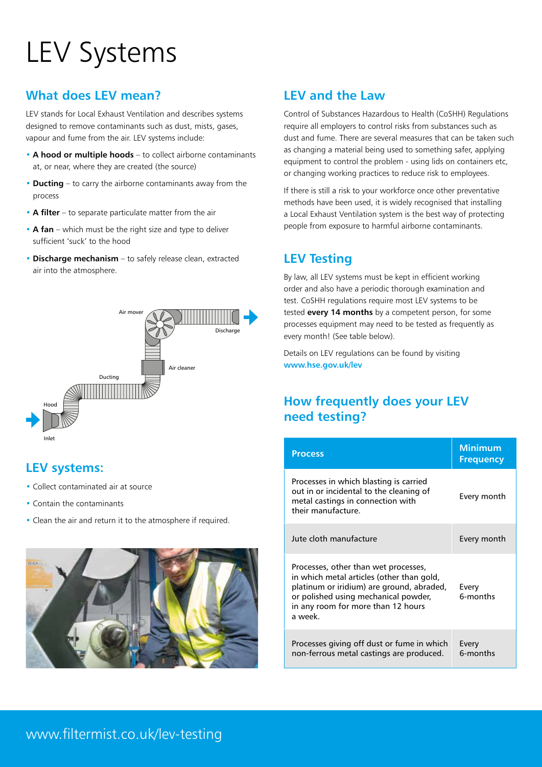# LEV Systems

#### **What does LEV mean?**

LEV stands for Local Exhaust Ventilation and describes systems designed to remove contaminants such as dust, mists, gases, vapour and fume from the air. LEV systems include:

- **A hood or multiple hoods** to collect airborne contaminants at, or near, where they are created (the source)
- **Ducting** to carry the airborne contaminants away from the process
- **A filter** to separate particulate matter from the air
- **A fan** which must be the right size and type to deliver sufficient 'suck' to the hood
- **Discharge mechanism** to safely release clean, extracted air into the atmosphere.



### **LEV systems:**

- Collect contaminated air at source
- Contain the contaminants
- Clean the air and return it to the atmosphere if required.



#### **LEV and the Law**

Control of Substances Hazardous to Health (CoSHH) Regulations require all employers to control risks from substances such as dust and fume. There are several measures that can be taken such as changing a material being used to something safer, applying equipment to control the problem - using lids on containers etc, or changing working practices to reduce risk to employees.

If there is still a risk to your workforce once other preventative methods have been used, it is widely recognised that installing a Local Exhaust Ventilation system is the best way of protecting people from exposure to harmful airborne contaminants.

### **LEV Testing**

By law, all LEV systems must be kept in efficient working order and also have a periodic thorough examination and test. CoSHH regulations require most LEV systems to be tested **every 14 months** by a competent person, for some processes equipment may need to be tested as frequently as every month! (See table below).

Details on LEV regulations can be found by visiting **www.hse.gov.uk/lev**

### **How frequently does your LEV need testing?**

| <b>Process</b>                                                                                                                                                                                                          | <b>Minimum</b><br><b>Frequency</b> |
|-------------------------------------------------------------------------------------------------------------------------------------------------------------------------------------------------------------------------|------------------------------------|
| Processes in which blasting is carried<br>out in or incidental to the cleaning of<br>metal castings in connection with<br>their manufacture.                                                                            | Every month                        |
| Jute cloth manufacture                                                                                                                                                                                                  | Every month                        |
| Processes, other than wet processes,<br>in which metal articles (other than gold,<br>platinum or iridium) are ground, abraded,<br>or polished using mechanical powder,<br>in any room for more than 12 hours<br>a week. | Every<br>6-months                  |
| Processes giving off dust or fume in which<br>non-ferrous metal castings are produced.                                                                                                                                  | Every<br>6-months                  |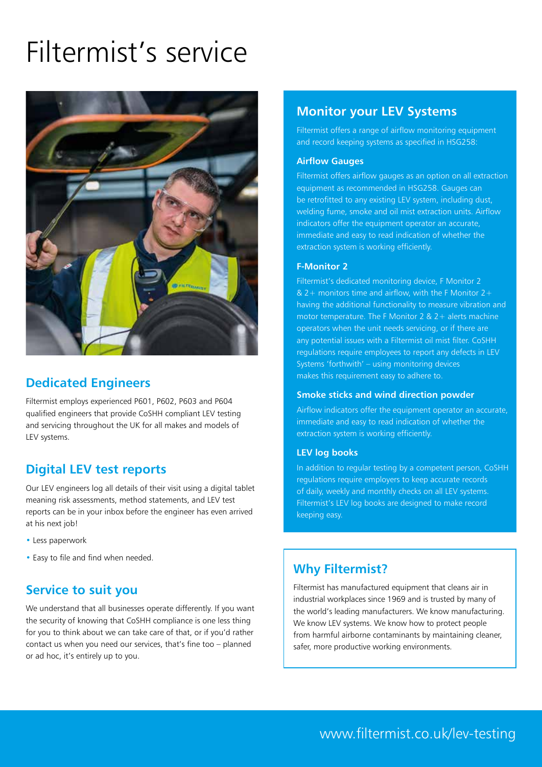## Filtermist's service



#### **Dedicated Engineers**

Filtermist employs experienced P601, P602, P603 and P604 qualified engineers that provide CoSHH compliant LEV testing and servicing throughout the UK for all makes and models of LEV systems.

#### **Digital LEV test reports**

Our LEV engineers log all details of their visit using a digital tablet meaning risk assessments, method statements, and LEV test reports can be in your inbox before the engineer has even arrived at his next job!

- Less paperwork
- Easy to file and find when needed.

#### **Service to suit you**

We understand that all businesses operate differently. If you want the security of knowing that CoSHH compliance is one less thing for you to think about we can take care of that, or if you'd rather contact us when you need our services, that's fine too – planned or ad hoc, it's entirely up to you.

#### **Monitor your LEV Systems**

Filtermist offers a range of airflow monitoring equipment and record keeping systems as specified in HSG258:

#### **Airflow Gauges**

Filtermist offers airflow gauges as an option on all extraction equipment as recommended in HSG258. Gauges can be retrofitted to any existing LEV system, including dust, welding fume, smoke and oil mist extraction units. Airflow indicators offer the equipment operator an accurate, immediate and easy to read indication of whether the extraction system is working efficiently.

#### **F-Monitor 2**

Filtermist's dedicated monitoring device, F Monitor 2 & 2+ monitors time and airflow, with the F Monitor  $2+$ having the additional functionality to measure vibration and motor temperature. The F Monitor 2  $& 2 +$  alerts machine operators when the unit needs servicing, or if there are any potential issues with a Filtermist oil mist filter. CoSHH regulations require employees to report any defects in LEV Systems 'forthwith' – using monitoring devices makes this requirement easy to adhere to.

#### **Smoke sticks and wind direction powder**

Airflow indicators offer the equipment operator an accurate, immediate and easy to read indication of whether the extraction system is working efficiently.

#### **LEV log books**

In addition to regular testing by a competent person, CoSHH regulations require employers to keep accurate records of daily, weekly and monthly checks on all LEV systems. Filtermist's LEV log books are designed to make record keeping easy.

#### **Why Filtermist?**

Filtermist has manufactured equipment that cleans air in industrial workplaces since 1969 and is trusted by many of the world's leading manufacturers. We know manufacturing. We know LEV systems. We know how to protect people from harmful airborne contaminants by maintaining cleaner, safer, more productive working environments.